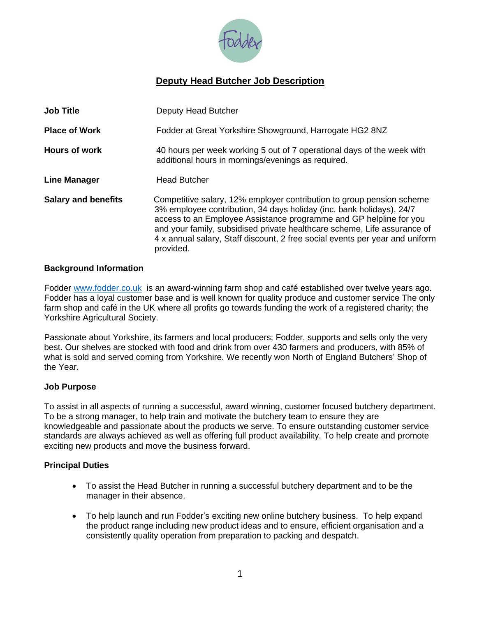

# **Deputy Head Butcher Job Description**

| <b>Job Title</b>           | Deputy Head Butcher                                                                                                                                                                                                                                                                                                                                                                          |
|----------------------------|----------------------------------------------------------------------------------------------------------------------------------------------------------------------------------------------------------------------------------------------------------------------------------------------------------------------------------------------------------------------------------------------|
| <b>Place of Work</b>       | Fodder at Great Yorkshire Showground, Harrogate HG2 8NZ                                                                                                                                                                                                                                                                                                                                      |
| <b>Hours of work</b>       | 40 hours per week working 5 out of 7 operational days of the week with<br>additional hours in mornings/evenings as required.                                                                                                                                                                                                                                                                 |
| <b>Line Manager</b>        | <b>Head Butcher</b>                                                                                                                                                                                                                                                                                                                                                                          |
| <b>Salary and benefits</b> | Competitive salary, 12% employer contribution to group pension scheme<br>3% employee contribution, 34 days holiday (inc. bank holidays), 24/7<br>access to an Employee Assistance programme and GP helpline for you<br>and your family, subsidised private healthcare scheme, Life assurance of<br>4 x annual salary, Staff discount, 2 free social events per year and uniform<br>provided. |

#### **Background Information**

Fodder [www.fodder.co.uk](http://www.fodder.co.uk/) is an award-winning farm shop and café established over twelve years ago. Fodder has a loyal customer base and is well known for quality produce and customer service The only farm shop and café in the UK where all profits go towards funding the work of a registered charity; the Yorkshire Agricultural Society.

Passionate about Yorkshire, its farmers and local producers; Fodder, supports and sells only the very best. Our shelves are stocked with food and drink from over 430 farmers and producers, with 85% of what is sold and served coming from Yorkshire. We recently won North of England Butchers' Shop of the Year.

#### **Job Purpose**

To assist in all aspects of running a successful, award winning, customer focused butchery department. To be a strong manager, to help train and motivate the butchery team to ensure they are knowledgeable and passionate about the products we serve. To ensure outstanding customer service standards are always achieved as well as offering full product availability. To help create and promote exciting new products and move the business forward.

## **Principal Duties**

- To assist the Head Butcher in running a successful butchery department and to be the manager in their absence.
- To help launch and run Fodder's exciting new online butchery business. To help expand the product range including new product ideas and to ensure, efficient organisation and a consistently quality operation from preparation to packing and despatch.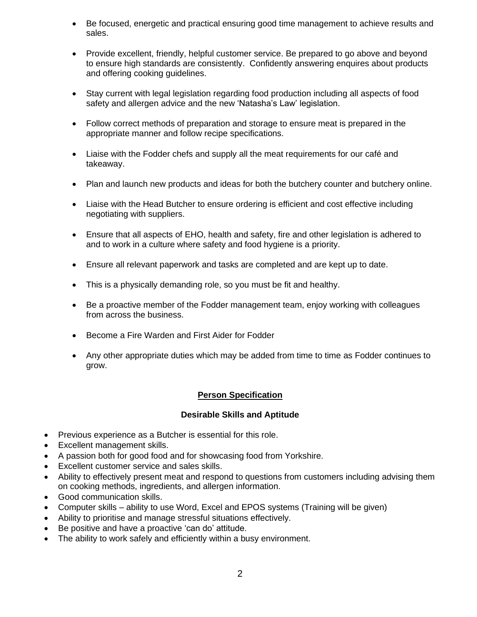- Be focused, energetic and practical ensuring good time management to achieve results and sales.
- Provide excellent, friendly, helpful customer service. Be prepared to go above and beyond to ensure high standards are consistently. Confidently answering enquires about products and offering cooking guidelines.
- Stay current with legal legislation regarding food production including all aspects of food safety and allergen advice and the new 'Natasha's Law' legislation.
- Follow correct methods of preparation and storage to ensure meat is prepared in the appropriate manner and follow recipe specifications.
- Liaise with the Fodder chefs and supply all the meat requirements for our café and takeaway.
- Plan and launch new products and ideas for both the butchery counter and butchery online.
- Liaise with the Head Butcher to ensure ordering is efficient and cost effective including negotiating with suppliers.
- Ensure that all aspects of EHO, health and safety, fire and other legislation is adhered to and to work in a culture where safety and food hygiene is a priority.
- Ensure all relevant paperwork and tasks are completed and are kept up to date.
- This is a physically demanding role, so you must be fit and healthy.
- Be a proactive member of the Fodder management team, enjoy working with colleagues from across the business.
- Become a Fire Warden and First Aider for Fodder
- Any other appropriate duties which may be added from time to time as Fodder continues to grow.

## **Person Specification**

## **Desirable Skills and Aptitude**

- Previous experience as a Butcher is essential for this role.
- Excellent management skills.
- A passion both for good food and for showcasing food from Yorkshire.
- Excellent customer service and sales skills.
- Ability to effectively present meat and respond to questions from customers including advising them on cooking methods, ingredients, and allergen information.
- Good communication skills.
- Computer skills ability to use Word, Excel and EPOS systems (Training will be given)
- Ability to prioritise and manage stressful situations effectively.
- Be positive and have a proactive 'can do' attitude.
- The ability to work safely and efficiently within a busy environment.